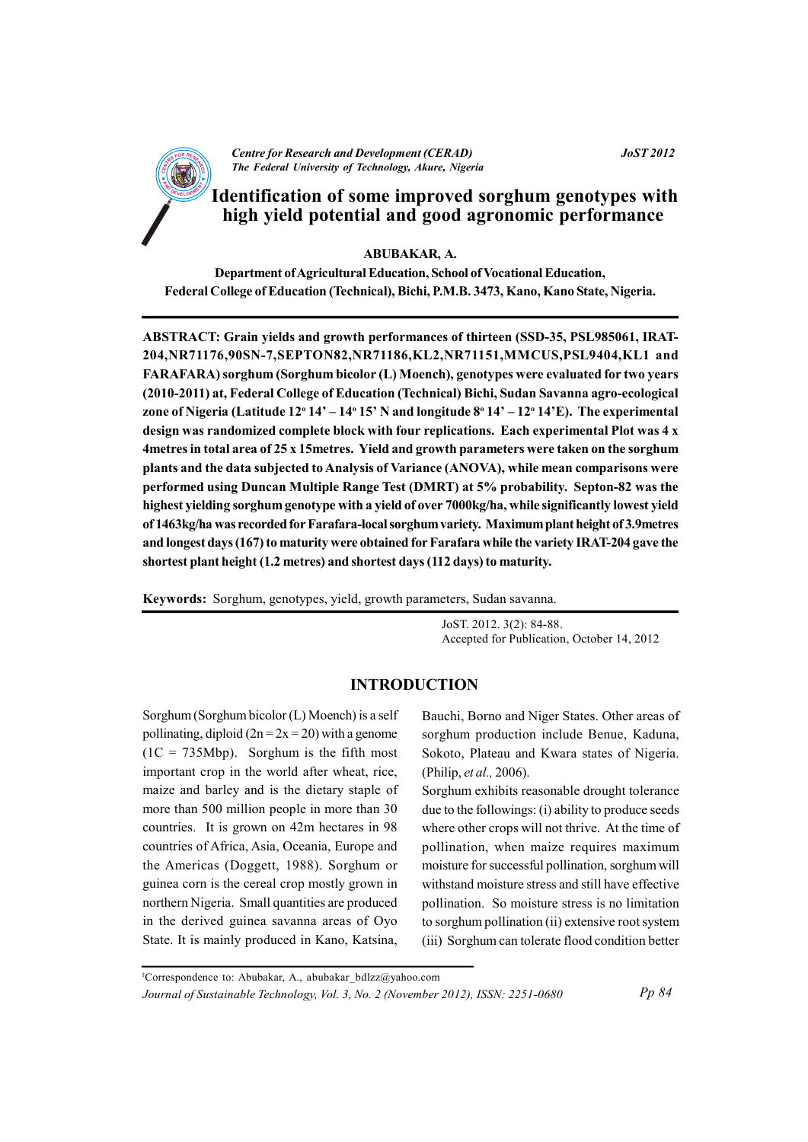

**JoST 2012** 

# Identification of some improved sorghum genotypes with high yield potential and good agronomic performance

**ABUBAKAR, A.** 

Department of Agricultural Education, School of Vocational Education, Federal College of Education (Technical), Bichi, P.M.B. 3473, Kano, Kano State, Nigeria.

ABSTRACT: Grain yields and growth performances of thirteen (SSD-35, PSL985061, IRAT-204,NR71176,90SN-7,SEPTON82,NR71186,KL2,NR71151,MMCUS,PSL9404,KL1 and FARAFARA) sorghum (Sorghum bicolor (L) Moench), genotypes were evaluated for two years (2010-2011) at, Federal College of Education (Technical) Bichi, Sudan Savanna agro-ecological zone of Nigeria (Latitude  $12^{\circ} 14' - 14^{\circ} 15'$  N and longitude  $8^{\circ} 14' - 12^{\circ} 14' E$ ). The experimental design was randomized complete block with four replications. Each experimental Plot was 4 x 4 metres in total area of 25 x 15 metres. Yield and growth parameters were taken on the sorghum plants and the data subjected to Analysis of Variance (ANOVA), while mean comparisons were performed using Duncan Multiple Range Test (DMRT) at 5% probability. Septon-82 was the highest yielding sorghum genotype with a yield of over 7000kg/ha, while significantly lowest yield of 1463kg/ha was recorded for Farafara-local sorghum variety. Maximum plant height of 3.9 metres and longest days (167) to maturity were obtained for Farafara while the variety IRAT-204 gave the shortest plant height (1.2 metres) and shortest days (112 days) to maturity.

Keywords: Sorghum, genotypes, yield, growth parameters, Sudan savanna.

JoST. 2012. 3(2): 84-88. Accepted for Publication, October 14, 2012

### **INTRODUCTION**

Sorghum (Sorghum bicolor  $(L)$  Moench) is a self pollinating, diploid  $(2n = 2x = 20)$  with a genome  $(1C = 735Mbp)$ . Sorghum is the fifth most important crop in the world after wheat, rice, maize and barley and is the dietary staple of more than 500 million people in more than 30 countries. It is grown on 42m hectares in 98 countries of Africa, Asia, Oceania, Europe and the Americas (Doggett, 1988). Sorghum or guinea corn is the cereal crop mostly grown in northern Nigeria. Small quantities are produced in the derived guinea savanna areas of Oyo State. It is mainly produced in Kano, Katsina,

Bauchi, Borno and Niger States. Other areas of sorghum production include Benue, Kaduna, Sokoto, Plateau and Kwara states of Nigeria. (Philip, et al., 2006).

Sorghum exhibits reasonable drought tolerance due to the followings: (i) ability to produce seeds where other crops will not thrive. At the time of pollination, when maize requires maximum moisture for successful pollination, sorghum will withstand moisture stress and still have effective pollination. So moisture stress is no limitation to sorghum pollination (ii) extensive root system (iii) Sorghum can tolerate flood condition better

 $Pp84$ 

<sup>&</sup>lt;sup>1</sup>Correspondence to: Abubakar, A., abubakar\_bdlzz@yahoo.com Journal of Sustainable Technology, Vol. 3, No. 2 (November 2012), ISSN: 2251-0680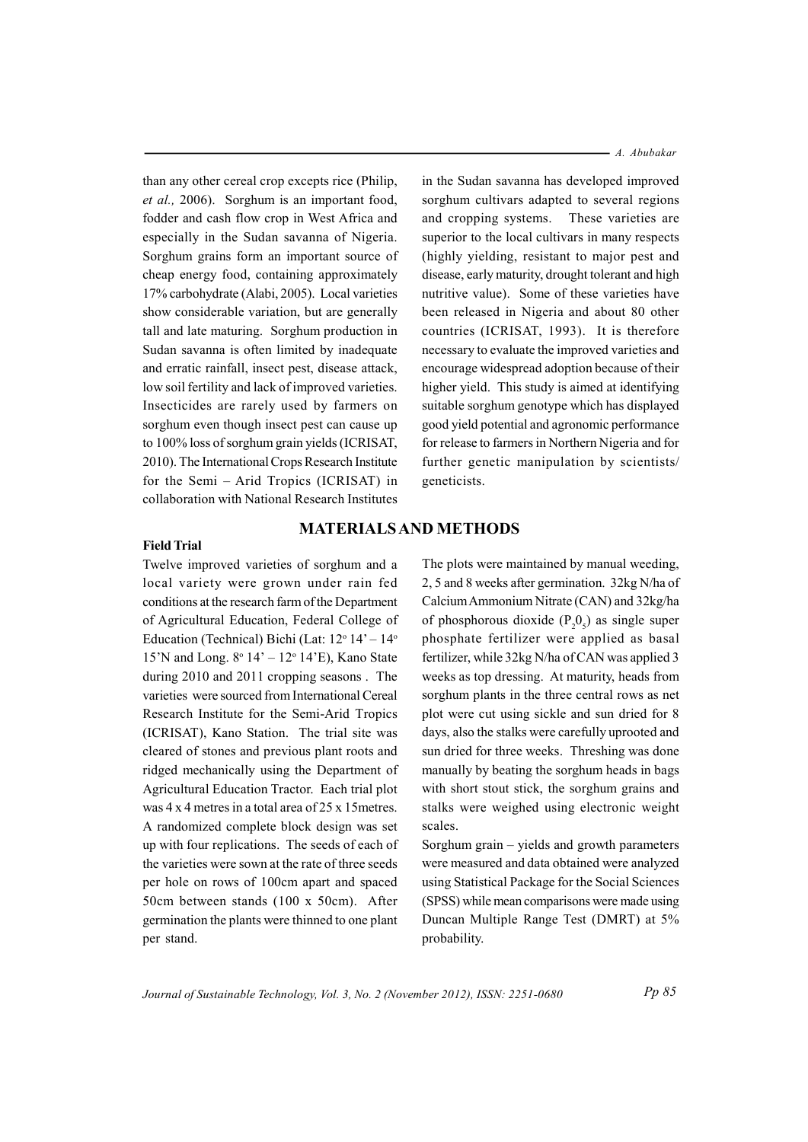than any other cereal crop excepts rice (Philip, et al., 2006). Sorghum is an important food, fodder and cash flow crop in West Africa and especially in the Sudan savanna of Nigeria. Sorghum grains form an important source of cheap energy food, containing approximately 17% carbohydrate (Alabi, 2005). Local varieties show considerable variation, but are generally tall and late maturing. Sorghum production in Sudan savanna is often limited by inadequate and erratic rainfall, insect pest, disease attack, low soil fertility and lack of improved varieties. Insecticides are rarely used by farmers on sorghum even though insect pest can cause up to 100% loss of sorghum grain yields (ICRISAT, 2010). The International Crops Research Institute for the Semi – Arid Tropics (ICRISAT) in collaboration with National Research Institutes

#### $-A.$  Abubakar

in the Sudan savanna has developed improved sorghum cultivars adapted to several regions and cropping systems. These varieties are superior to the local cultivars in many respects (highly yielding, resistant to major pest and disease, early maturity, drought tolerant and high nutritive value). Some of these varieties have been released in Nigeria and about 80 other countries (ICRISAT, 1993). It is therefore necessary to evaluate the improved varieties and encourage widespread adoption because of their higher yield. This study is aimed at identifying suitable sorghum genotype which has displayed good vield potential and agronomic performance for release to farmers in Northern Nigeria and for further genetic manipulation by scientists/ geneticists.

#### **Field Trial**

Twelve improved varieties of sorghum and a local variety were grown under rain fed conditions at the research farm of the Department of Agricultural Education, Federal College of Education (Technical) Bichi (Lat:  $12^{\circ} 14' - 14^{\circ}$ 15'N and Long.  $8^{\circ}$  14' - 12° 14'E), Kano State during 2010 and 2011 cropping seasons. The varieties were sourced from International Cereal Research Institute for the Semi-Arid Tropics (ICRISAT), Kano Station. The trial site was cleared of stones and previous plant roots and ridged mechanically using the Department of Agricultural Education Tractor. Each trial plot was 4 x 4 metres in a total area of 25 x 15 metres. A randomized complete block design was set up with four replications. The seeds of each of the varieties were sown at the rate of three seeds per hole on rows of 100cm apart and spaced 50cm between stands (100 x 50cm). After germination the plants were thinned to one plant per stand.

The plots were maintained by manual weeding. 2, 5 and 8 weeks after germination. 32kg N/ha of Calcium Ammonium Nitrate (CAN) and 32kg/ha of phosphorous dioxide  $(P<sub>n</sub>, 0<sub>n</sub>)$  as single super phosphate fertilizer were applied as basal fertilizer, while 32kg N/ha of CAN was applied 3 weeks as top dressing. At maturity, heads from sorghum plants in the three central rows as net plot were cut using sickle and sun dried for 8 days, also the stalks were carefully uprooted and sun dried for three weeks. Threshing was done manually by beating the sorghum heads in bags with short stout stick, the sorghum grains and stalks were weighed using electronic weight scales.

Sorghum grain – yields and growth parameters were measured and data obtained were analyzed using Statistical Package for the Social Sciences (SPSS) while mean comparisons were made using Duncan Multiple Range Test (DMRT) at 5% probability.

Journal of Sustainable Technology, Vol. 3, No. 2 (November 2012), ISSN: 2251-0680

**MATERIALS AND METHODS**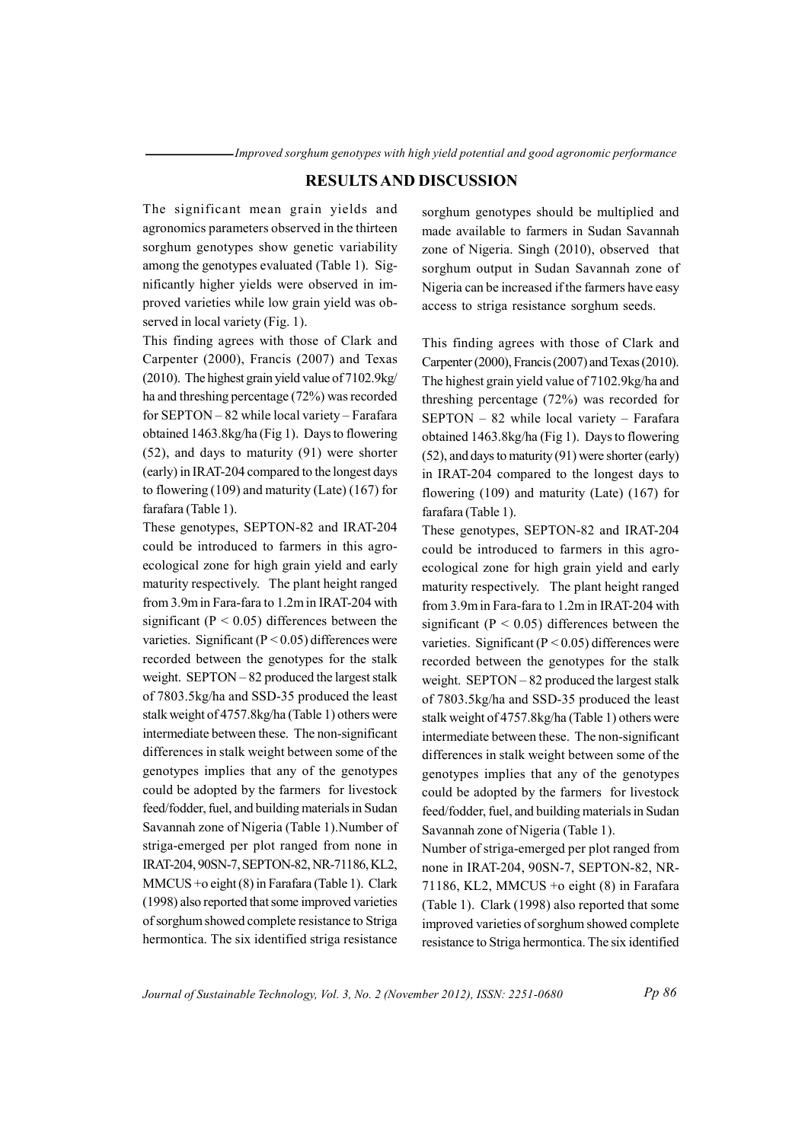## **RESULTS AND DISCUSSION**

The significant mean grain yields and agronomics parameters observed in the thirteen sorghum genotypes show genetic variability among the genotypes evaluated (Table 1). Significantly higher yields were observed in improved varieties while low grain yield was observed in local variety (Fig. 1).

This finding agrees with those of Clark and Carpenter (2000), Francis (2007) and Texas (2010). The highest grain yield value of 7102.9kg/ ha and threshing percentage (72%) was recorded for SEPTON - 82 while local variety - Farafara obtained 1463.8kg/ha (Fig 1). Days to flowering  $(52)$ , and days to maturity  $(91)$  were shorter (early) in IRAT-204 compared to the longest days to flowering  $(109)$  and maturity (Late)  $(167)$  for farafara (Table 1).

These genotypes, SEPTON-82 and IRAT-204 could be introduced to farmers in this agroecological zone for high grain yield and early maturity respectively. The plant height ranged from 3.9m in Fara-fara to 1.2m in IRAT-204 with significant ( $P < 0.05$ ) differences between the varieties. Significant ( $P < 0.05$ ) differences were recorded between the genotypes for the stalk weight.  $SEPTON - 82$  produced the largest stalk of 7803.5kg/ha and SSD-35 produced the least stalk weight of 4757.8kg/ha (Table 1) others were intermediate between these. The non-significant differences in stalk weight between some of the genotypes implies that any of the genotypes could be adopted by the farmers for livestock feed/fodder, fuel, and building materials in Sudan Savannah zone of Nigeria (Table 1). Number of striga-emerged per plot ranged from none in IRAT-204, 90SN-7, SEPTON-82, NR-71186, KL2, MMCUS +o eight (8) in Farafara (Table 1). Clark (1998) also reported that some improved varieties of sorghum showed complete resistance to Striga hermontica. The six identified striga resistance

sorghum genotypes should be multiplied and made available to farmers in Sudan Savannah zone of Nigeria. Singh (2010), observed that sorghum output in Sudan Savannah zone of Nigeria can be increased if the farmers have easy access to striga resistance sorghum seeds.

This finding agrees with those of Clark and Carpenter (2000), Francis (2007) and Texas (2010). The highest grain yield value of 7102.9kg/ha and threshing percentage  $(72%)$  was recorded for SEPTON - 82 while local variety - Farafara obtained 1463.8kg/ha (Fig 1). Days to flowering (52), and days to maturity (91) were shorter (early) in IRAT-204 compared to the longest days to flowering  $(109)$  and maturity (Late)  $(167)$  for farafara (Table 1).

These genotypes, SEPTON-82 and IRAT-204 could be introduced to farmers in this agroecological zone for high grain yield and early maturity respectively. The plant height ranged from 3.9m in Fara-fara to 1.2m in IRAT-204 with significant ( $P < 0.05$ ) differences between the varieties. Significant ( $P < 0.05$ ) differences were recorded between the genotypes for the stalk weight.  $SEPTON-82$  produced the largest stalk of 7803.5kg/ha and SSD-35 produced the least stalk weight of 4757.8kg/ha (Table 1) others were intermediate between these. The non-significant differences in stalk weight between some of the genotypes implies that any of the genotypes could be adopted by the farmers for livestock feed/fodder, fuel, and building materials in Sudan Savannah zone of Nigeria (Table 1).

Number of striga-emerged per plot ranged from none in IRAT-204, 90SN-7, SEPTON-82, NR-71186, KL2, MMCUS +o eight  $(8)$  in Farafara (Table 1). Clark (1998) also reported that some improved varieties of sorghum showed complete resistance to Striga hermontica. The six identified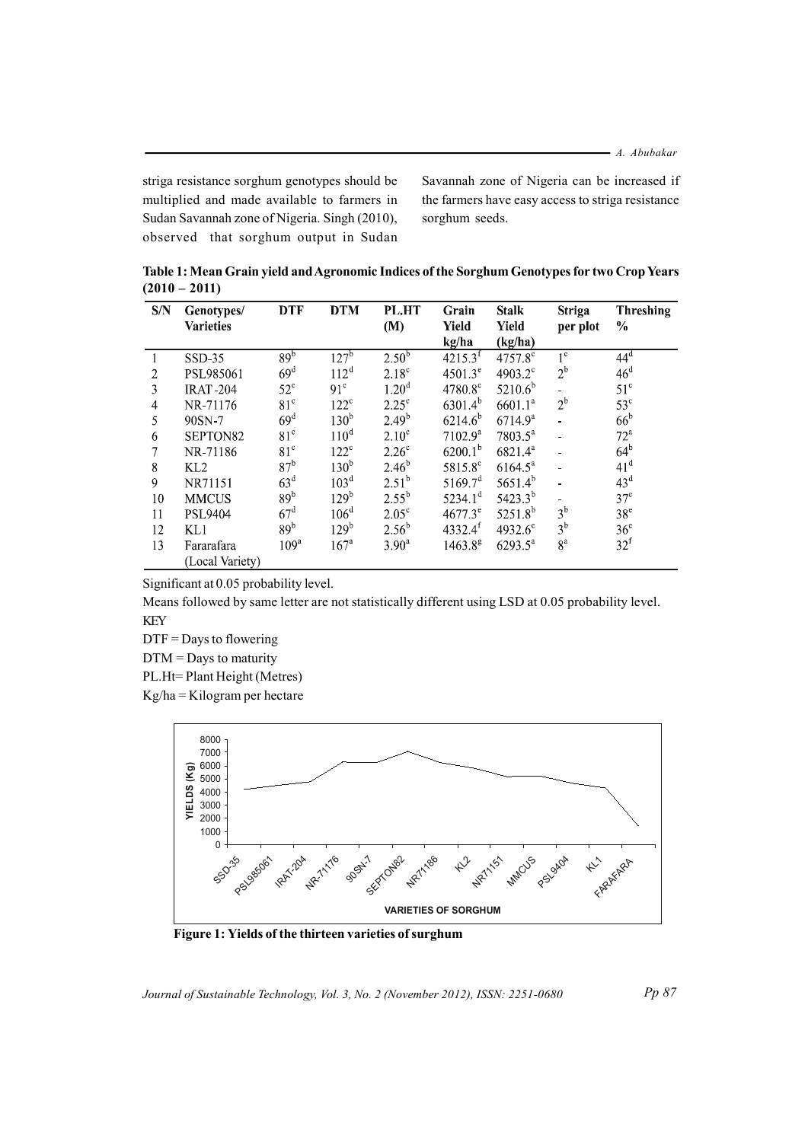- A. Abubakar

striga resistance sorghum genotypes should be multiplied and made available to farmers in Sudan Savannah zone of Nigeria. Singh (2010), observed that sorghum output in Sudan Savannah zone of Nigeria can be increased if the farmers have easy access to striga resistance sorghum seeds.

Table 1: Mean Grain yield and Agronomic Indices of the Sorghum Genotypes for two Crop Years  $(2010 - 2011)$ 

| S/N            | Genotypes/       | <b>DTF</b>       | <b>DTM</b>       | PL.HT          | Grain                   | <b>Stalk</b>        | <b>Striga</b>  | <b>Threshing</b> |
|----------------|------------------|------------------|------------------|----------------|-------------------------|---------------------|----------------|------------------|
|                | <b>Varieties</b> |                  |                  | (M)            | Yield                   | Yield               | per plot       | $\frac{0}{0}$    |
|                |                  |                  |                  |                | kg/ha                   | (kg/ha)             |                |                  |
|                | $SSD-35$         | 89 <sup>b</sup>  | $127^{\rm b}$    | $2.50^{6}$     | $421\overline{5.3}^{f}$ | 4757.8 <sup>c</sup> | $1^{\circ}$    | $44^d$           |
| $\overline{2}$ | PSL985061        | 69 <sup>d</sup>  | $112^d$          | $2.18^{\circ}$ | $4501.3^e$              | $4903.2^{\circ}$    | $2^{\rm b}$    | 46 <sup>d</sup>  |
| 3              | <b>IRAT-204</b>  | $52^{\circ}$     | 91 <sup>c</sup>  | $1.20^{\rm d}$ | $4780.8^{\circ}$        | $5210.6^b$          |                | $51^{\circ}$     |
| 4              | NR-71176         | 81 <sup>c</sup>  | $122^{\circ}$    | $2.25^{\circ}$ | $6301.4^{b}$            | 6601.1 <sup>a</sup> | $2^{\rm b}$    | $53^{\circ}$     |
| 5              | 90SN-7           | 69 <sup>d</sup>  | 130 <sup>b</sup> | $2.49^{b}$     | $6214.6^{b}$            | 6714.9 <sup>a</sup> |                | $66^{\rm b}$     |
| 6              | SEPTON82         | 81 <sup>c</sup>  | $110^d$          | $2.10^{\circ}$ | 7102.9 <sup>a</sup>     | $7803.5^{\circ}$    |                | 72 <sup>a</sup>  |
| 7              | NR-71186         | 81 <sup>c</sup>  | $122^{\circ}$    | $2.26^{\circ}$ | $6200.1^{b}$            | $6821.4^a$          |                | $64^{\rm b}$     |
| 8              | KL2              | 87 <sup>b</sup>  | 130 <sup>b</sup> | $2.46^{b}$     | 5815.8 <sup>c</sup>     | $6164.5^a$          |                | 41 <sup>d</sup>  |
| 9              | NR71151          | 63 <sup>d</sup>  | 103 <sup>d</sup> | $2.51^{b}$     | 5169.7 <sup>d</sup>     | $5651.4^{b}$        |                | $43^d$           |
| 10             | <b>MMCUS</b>     | 89 <sup>b</sup>  | 129 <sup>b</sup> | $2.55^{b}$     | $5234.1^d$              | $5423.3^{b}$        |                | $37^{\circ}$     |
| 11             | <b>PSL9404</b>   | $67^{\rm d}$     | $106^d$          | $2.05^{\circ}$ | $4677.3^e$              | $5251.8^{b}$        | $3^{\rm b}$    | 38 <sup>e</sup>  |
| 12             | KL1              | 89 <sup>b</sup>  | 129 <sup>b</sup> | $2.56^{b}$     | $4332.4^{f}$            | 4932.6 $^{\circ}$   | 3 <sup>b</sup> | 36 <sup>c</sup>  |
| 13             | Fararafara       | 109 <sup>a</sup> | 167 <sup>a</sup> | $3.90^{\circ}$ | $1463.8^{8}$            | $6293.5^{\circ}$    | 8 <sup>a</sup> | $32^f$           |
|                | (Local Variety)  |                  |                  |                |                         |                     |                |                  |

Significant at 0.05 probability level.

Means followed by same letter are not statistically different using LSD at 0.05 probability level. **KEY** 

 $DTF =$ Days to flowering

 $DTM =$  Days to maturity

PL.Ht=Plant Height (Metres)

 $Kg/ha = Kilogram$  per hectare



Figure 1: Yields of the thirteen varieties of surghum

Journal of Sustainable Technology, Vol. 3, No. 2 (November 2012), ISSN: 2251-0680

Pp 87